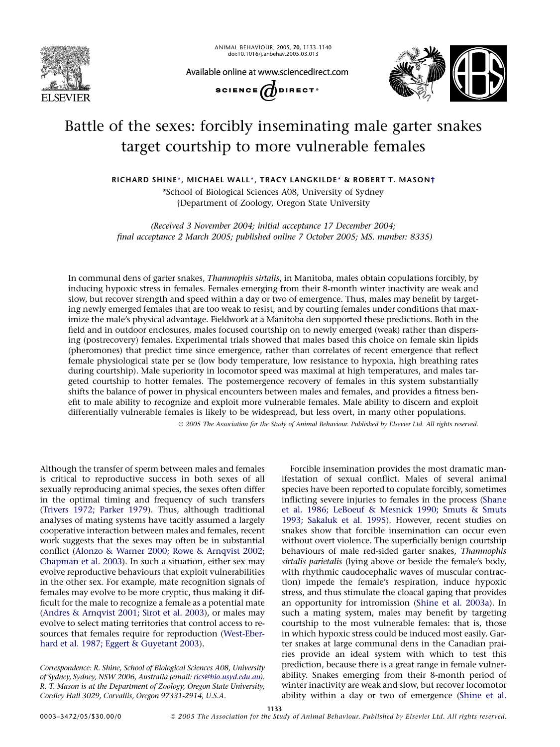

ANIMAL BEHAVIOUR, 2005, 70, 1133–1140 doi:10.1016/j.anbehav.2005.03.013





# Battle of the sexes: forcibly inseminating male garter snakes target courtship to more vulnerable females

RICHARD SHINE\*, MICHAEL WALL\*, TRACY LANGKILDE\* & ROBERT T. MASON† \*School of Biological Sciences A08, University of Sydney yDepartment of Zoology, Oregon State University

(Received 3 November 2004; initial acceptance 17 December 2004; final acceptance 2 March 2005; published online 7 October 2005; MS. number: 8335)

In communal dens of garter snakes, Thamnophis sirtalis, in Manitoba, males obtain copulations forcibly, by inducing hypoxic stress in females. Females emerging from their 8-month winter inactivity are weak and slow, but recover strength and speed within a day or two of emergence. Thus, males may benefit by targeting newly emerged females that are too weak to resist, and by courting females under conditions that maximize the male's physical advantage. Fieldwork at a Manitoba den supported these predictions. Both in the field and in outdoor enclosures, males focused courtship on to newly emerged (weak) rather than dispersing (postrecovery) females. Experimental trials showed that males based this choice on female skin lipids (pheromones) that predict time since emergence, rather than correlates of recent emergence that reflect female physiological state per se (low body temperature, low resistance to hypoxia, high breathing rates during courtship). Male superiority in locomotor speed was maximal at high temperatures, and males targeted courtship to hotter females. The postemergence recovery of females in this system substantially shifts the balance of power in physical encounters between males and females, and provides a fitness benefit to male ability to recognize and exploit more vulnerable females. Male ability to discern and exploit differentially vulnerable females is likely to be widespread, but less overt, in many other populations.

2005 The Association for the Study of Animal Behaviour. Published by Elsevier Ltd. All rights reserved.

Although the transfer of sperm between males and females is critical to reproductive success in both sexes of all sexually reproducing animal species, the sexes often differ in the optimal timing and frequency of such transfers ([Trivers 1972; Parker 1979](#page-7-0)). Thus, although traditional analyses of mating systems have tacitly assumed a largely cooperative interaction between males and females, recent work suggests that the sexes may often be in substantial conflict [\(Alonzo & Warner 2000; Rowe & Arnqvist 2002;](#page-6-0) [Chapman et al. 2003\)](#page-6-0). In such a situation, either sex may evolve reproductive behaviours that exploit vulnerabilities in the other sex. For example, mate recognition signals of females may evolve to be more cryptic, thus making it difficult for the male to recognize a female as a potential mate ([Andres & Arnqvist 2001; Sirot et al. 2003](#page-6-0)), or males may evolve to select mating territories that control access to resources that females require for reproduction ([West-Eber](#page-7-0)[hard et al. 1987; Eggert & Guyetant 2003\)](#page-7-0).

Correspondence: R. Shine, School of Biological Sciences A08, University of Sydney, Sydney, NSW 2006, Australia (email: [rics@bio.usyd.edu.au\)](mailto:rics@bio.usyd.edu.au). R. T. Mason is at the Department of Zoology, Oregon State University, Cordley Hall 3029, Corvallis, Oregon 97331-2914, U.S.A.

Forcible insemination provides the most dramatic manifestation of sexual conflict. Males of several animal species have been reported to copulate forcibly, sometimes inflicting severe injuries to females in the process ([Shane](#page-7-0) [et al. 1986; LeBoeuf & Mesnick 1990; Smuts & Smuts](#page-7-0) [1993; Sakaluk et al. 1995\)](#page-7-0). However, recent studies on snakes show that forcible insemination can occur even without overt violence. The superficially benign courtship behaviours of male red-sided garter snakes, Thamnophis sirtalis parietalis (lying above or beside the female's body, with rhythmic caudocephalic waves of muscular contraction) impede the female's respiration, induce hypoxic stress, and thus stimulate the cloacal gaping that provides an opportunity for intromission ([Shine et al. 2003a](#page-7-0)). In such a mating system, males may benefit by targeting courtship to the most vulnerable females: that is, those in which hypoxic stress could be induced most easily. Garter snakes at large communal dens in the Canadian prairies provide an ideal system with which to test this prediction, because there is a great range in female vulnerability. Snakes emerging from their 8-month period of winter inactivity are weak and slow, but recover locomotor ability within a day or two of emergence ([Shine et al.](#page-7-0)

1133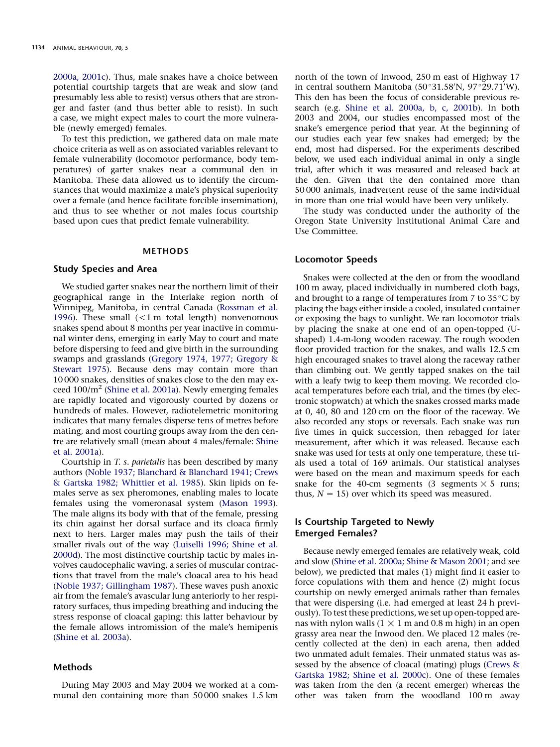[2000a, 2001c](#page-7-0)). Thus, male snakes have a choice between potential courtship targets that are weak and slow (and presumably less able to resist) versus others that are stronger and faster (and thus better able to resist). In such a case, we might expect males to court the more vulnerable (newly emerged) females.

To test this prediction, we gathered data on male mate choice criteria as well as on associated variables relevant to female vulnerability (locomotor performance, body temperatures) of garter snakes near a communal den in Manitoba. These data allowed us to identify the circumstances that would maximize a male's physical superiority over a female (and hence facilitate forcible insemination), and thus to see whether or not males focus courtship based upon cues that predict female vulnerability.

## METHODS

## Study Species and Area

We studied garter snakes near the northern limit of their geographical range in the Interlake region north of Winnipeg, Manitoba, in central Canada ([Rossman et al.](#page-7-0) [1996](#page-7-0)). These small  $(<1$  m total length) nonvenomous snakes spend about 8 months per year inactive in communal winter dens, emerging in early May to court and mate before dispersing to feed and give birth in the surrounding swamps and grasslands [\(Gregory 1974, 1977; Gregory &](#page-7-0) [Stewart 1975](#page-7-0)). Because dens may contain more than 10 000 snakes, densities of snakes close to the den may exceed  $100/m^2$  [\(Shine et al. 2001a\)](#page-7-0). Newly emerging females are rapidly located and vigorously courted by dozens or hundreds of males. However, radiotelemetric monitoring indicates that many females disperse tens of metres before mating, and most courting groups away from the den centre are relatively small (mean about 4 males/female: [Shine](#page-7-0) [et al. 2001a\)](#page-7-0).

Courtship in T. s. parietalis has been described by many authors [\(Noble 1937; Blanchard & Blanchard 1941; Crews](#page-7-0) [& Gartska 1982; Whittier et al. 1985](#page-7-0)). Skin lipids on females serve as sex pheromones, enabling males to locate females using the vomeronasal system [\(Mason 1993](#page-7-0)). The male aligns its body with that of the female, pressing its chin against her dorsal surface and its cloaca firmly next to hers. Larger males may push the tails of their smaller rivals out of the way ([Luiselli 1996; Shine et al.](#page-7-0) [2000d](#page-7-0)). The most distinctive courtship tactic by males involves caudocephalic waving, a series of muscular contractions that travel from the male's cloacal area to his head ([Noble 1937; Gillingham 1987](#page-7-0)). These waves push anoxic air from the female's avascular lung anteriorly to her respiratory surfaces, thus impeding breathing and inducing the stress response of cloacal gaping: this latter behaviour by the female allows intromission of the male's hemipenis ([Shine et al. 2003a](#page-7-0)).

# Methods

During May 2003 and May 2004 we worked at a communal den containing more than 50 000 snakes 1.5 km north of the town of Inwood, 250 m east of Highway 17 in central southern Manitoba  $(50°31.58'N, 97°29.71'W)$ . This den has been the focus of considerable previous research (e.g. [Shine et al. 2000a, b, c, 2001b\)](#page-7-0). In both 2003 and 2004, our studies encompassed most of the snake's emergence period that year. At the beginning of our studies each year few snakes had emerged; by the end, most had dispersed. For the experiments described below, we used each individual animal in only a single trial, after which it was measured and released back at the den. Given that the den contained more than 50 000 animals, inadvertent reuse of the same individual in more than one trial would have been very unlikely.

The study was conducted under the authority of the Oregon State University Institutional Animal Care and Use Committee.

# Locomotor Speeds

Snakes were collected at the den or from the woodland 100 m away, placed individually in numbered cloth bags, and brought to a range of temperatures from 7 to  $35^{\circ}$ C by placing the bags either inside a cooled, insulated container or exposing the bags to sunlight. We ran locomotor trials by placing the snake at one end of an open-topped (Ushaped) 1.4-m-long wooden raceway. The rough wooden floor provided traction for the snakes, and walls 12.5 cm high encouraged snakes to travel along the raceway rather than climbing out. We gently tapped snakes on the tail with a leafy twig to keep them moving. We recorded cloacal temperatures before each trial, and the times (by electronic stopwatch) at which the snakes crossed marks made at 0, 40, 80 and 120 cm on the floor of the raceway. We also recorded any stops or reversals. Each snake was run five times in quick succession, then rebagged for later measurement, after which it was released. Because each snake was used for tests at only one temperature, these trials used a total of 169 animals. Our statistical analyses were based on the mean and maximum speeds for each snake for the 40-cm segments (3 segments  $\times$  5 runs; thus,  $N = 15$ ) over which its speed was measured.

# Is Courtship Targeted to Newly Emerged Females?

Because newly emerged females are relatively weak, cold and slow [\(Shine et al. 2000a; Shine & Mason 2001;](#page-7-0) and see below), we predicted that males (1) might find it easier to force copulations with them and hence (2) might focus courtship on newly emerged animals rather than females that were dispersing (i.e. had emerged at least 24 h previously). To test these predictions, we set up open-topped arenas with nylon walls  $(1 \times 1$  m and 0.8 m high) in an open grassy area near the Inwood den. We placed 12 males (recently collected at the den) in each arena, then added two unmated adult females. Their unmated status was assessed by the absence of cloacal (mating) plugs [\(Crews &](#page-6-0) [Gartska 1982; Shine et al. 2000c\)](#page-6-0). One of these females was taken from the den (a recent emerger) whereas the other was taken from the woodland 100 m away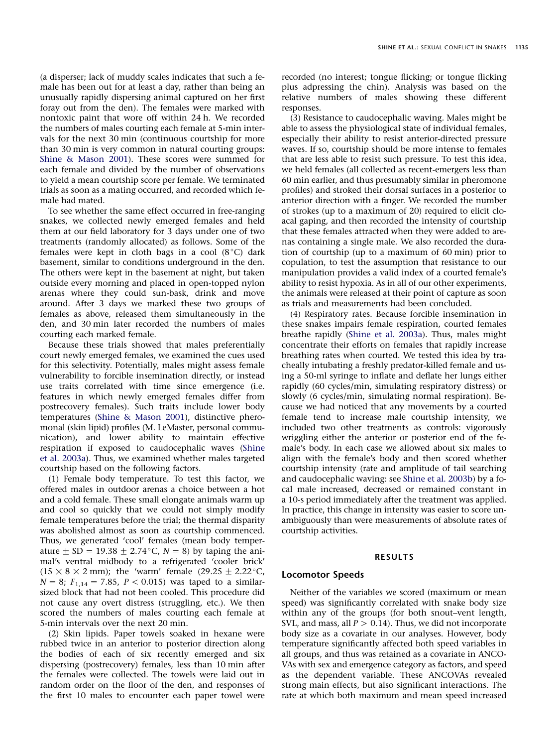(a disperser; lack of muddy scales indicates that such a female has been out for at least a day, rather than being an unusually rapidly dispersing animal captured on her first foray out from the den). The females were marked with nontoxic paint that wore off within 24 h. We recorded the numbers of males courting each female at 5-min intervals for the next 30 min (continuous courtship for more than 30 min is very common in natural courting groups: [Shine & Mason 2001](#page-7-0)). These scores were summed for each female and divided by the number of observations to yield a mean courtship score per female. We terminated trials as soon as a mating occurred, and recorded which female had mated.

To see whether the same effect occurred in free-ranging snakes, we collected newly emerged females and held them at our field laboratory for 3 days under one of two treatments (randomly allocated) as follows. Some of the females were kept in cloth bags in a cool  $(8^{\circ}C)$  dark basement, similar to conditions underground in the den. The others were kept in the basement at night, but taken outside every morning and placed in open-topped nylon arenas where they could sun-bask, drink and move around. After 3 days we marked these two groups of females as above, released them simultaneously in the den, and 30 min later recorded the numbers of males courting each marked female.

Because these trials showed that males preferentially court newly emerged females, we examined the cues used for this selectivity. Potentially, males might assess female vulnerability to forcible insemination directly, or instead use traits correlated with time since emergence (i.e. features in which newly emerged females differ from postrecovery females). Such traits include lower body temperatures ([Shine & Mason 2001\)](#page-7-0), distinctive pheromonal (skin lipid) profiles (M. LeMaster, personal communication), and lower ability to maintain effective respiration if exposed to caudocephalic waves [\(Shine](#page-7-0) [et al. 2003a](#page-7-0)). Thus, we examined whether males targeted courtship based on the following factors.

(1) Female body temperature. To test this factor, we offered males in outdoor arenas a choice between a hot and a cold female. These small elongate animals warm up and cool so quickly that we could not simply modify female temperatures before the trial; the thermal disparity was abolished almost as soon as courtship commenced. Thus, we generated 'cool' females (mean body temperature  $\pm$  SD = 19.38  $\pm$  2.74 °C, N = 8) by taping the animal's ventral midbody to a refrigerated 'cooler brick'  $(15 \times 8 \times 2 \text{ mm})$ ; the 'warm' female  $(29.25 \pm 2.22 \text{ °C})$ ,  $N = 8$ ;  $F_{1,14} = 7.85$ ,  $P < 0.015$ ) was taped to a similarsized block that had not been cooled. This procedure did not cause any overt distress (struggling, etc.). We then scored the numbers of males courting each female at 5-min intervals over the next 20 min.

(2) Skin lipids. Paper towels soaked in hexane were rubbed twice in an anterior to posterior direction along the bodies of each of six recently emerged and six dispersing (postrecovery) females, less than 10 min after the females were collected. The towels were laid out in random order on the floor of the den, and responses of the first 10 males to encounter each paper towel were

recorded (no interest; tongue flicking; or tongue flicking plus adpressing the chin). Analysis was based on the relative numbers of males showing these different responses.

(3) Resistance to caudocephalic waving. Males might be able to assess the physiological state of individual females, especially their ability to resist anterior-directed pressure waves. If so, courtship should be more intense to females that are less able to resist such pressure. To test this idea, we held females (all collected as recent-emergers less than 60 min earlier, and thus presumably similar in pheromone profiles) and stroked their dorsal surfaces in a posterior to anterior direction with a finger. We recorded the number of strokes (up to a maximum of 20) required to elicit cloacal gaping, and then recorded the intensity of courtship that these females attracted when they were added to arenas containing a single male. We also recorded the duration of courtship (up to a maximum of 60 min) prior to copulation, to test the assumption that resistance to our manipulation provides a valid index of a courted female's ability to resist hypoxia. As in all of our other experiments, the animals were released at their point of capture as soon as trials and measurements had been concluded.

(4) Respiratory rates. Because forcible insemination in these snakes impairs female respiration, courted females breathe rapidly ([Shine et al. 2003a](#page-7-0)). Thus, males might concentrate their efforts on females that rapidly increase breathing rates when courted. We tested this idea by tracheally intubating a freshly predator-killed female and using a 50-ml syringe to inflate and deflate her lungs either rapidly (60 cycles/min, simulating respiratory distress) or slowly (6 cycles/min, simulating normal respiration). Because we had noticed that any movements by a courted female tend to increase male courtship intensity, we included two other treatments as controls: vigorously wriggling either the anterior or posterior end of the female's body. In each case we allowed about six males to align with the female's body and then scored whether courtship intensity (rate and amplitude of tail searching and caudocephalic waving: see [Shine et al. 2003b](#page-7-0)) by a focal male increased, decreased or remained constant in a 10-s period immediately after the treatment was applied. In practice, this change in intensity was easier to score unambiguously than were measurements of absolute rates of courtship activities.

#### RESULTS

#### Locomotor Speeds

Neither of the variables we scored (maximum or mean speed) was significantly correlated with snake body size within any of the groups (for both snout–vent length, SVL, and mass, all  $P > 0.14$ ). Thus, we did not incorporate body size as a covariate in our analyses. However, body temperature significantly affected both speed variables in all groups, and thus was retained as a covariate in ANCO-VAs with sex and emergence category as factors, and speed as the dependent variable. These ANCOVAs revealed strong main effects, but also significant interactions. The rate at which both maximum and mean speed increased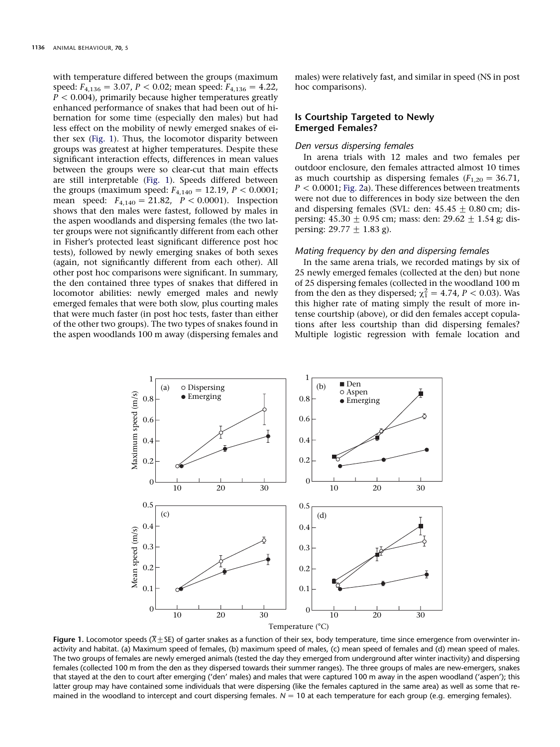<span id="page-3-0"></span>with temperature differed between the groups (maximum speed:  $F_{4,136} = 3.07$ ,  $P < 0.02$ ; mean speed:  $F_{4,136} = 4.22$ ,  $P < 0.004$ ), primarily because higher temperatures greatly enhanced performance of snakes that had been out of hibernation for some time (especially den males) but had less effect on the mobility of newly emerged snakes of either sex (Fig. 1). Thus, the locomotor disparity between groups was greatest at higher temperatures. Despite these significant interaction effects, differences in mean values between the groups were so clear-cut that main effects are still interpretable (Fig. 1). Speeds differed between the groups (maximum speed:  $F_{4,140} = 12.19$ ,  $P < 0.0001$ ; mean speed:  $F_{4,140} = 21.82$ ,  $P < 0.0001$ ). Inspection shows that den males were fastest, followed by males in the aspen woodlands and dispersing females (the two latter groups were not significantly different from each other in Fisher's protected least significant difference post hoc tests), followed by newly emerging snakes of both sexes (again, not significantly different from each other). All other post hoc comparisons were significant. In summary, the den contained three types of snakes that differed in locomotor abilities: newly emerged males and newly emerged females that were both slow, plus courting males that were much faster (in post hoc tests, faster than either of the other two groups). The two types of snakes found in the aspen woodlands 100 m away (dispersing females and males) were relatively fast, and similar in speed (NS in post hoc comparisons).

# Is Courtship Targeted to Newly Emerged Females?

#### Den versus dispersing females

In arena trials with 12 males and two females per outdoor enclosure, den females attracted almost 10 times as much courtship as dispersing females ( $F_{1,20} = 36.71$ ,  $P < 0.0001$ ; [Fig. 2a](#page-4-0)). These differences between treatments were not due to differences in body size between the den and dispersing females (SVL: den:  $45.45 \pm 0.80$  cm; dispersing:  $45.30 + 0.95$  cm; mass: den:  $29.62 + 1.54$  g; dispersing:  $29.77 \pm 1.83$  g).

#### Mating frequency by den and dispersing females

In the same arena trials, we recorded matings by six of 25 newly emerged females (collected at the den) but none of 25 dispersing females (collected in the woodland 100 m from the den as they dispersed;  $\chi_1^2 = 4.74$ ,  $P < 0.03$ ). Was this higher rate of mating simply the result of more intense courtship (above), or did den females accept copulations after less courtship than did dispersing females? Multiple logistic regression with female location and



Figure 1. Locomotor speeds ( $\overline{X}$   $\pm$  SE) of garter snakes as a function of their sex, body temperature, time since emergence from overwinter inactivity and habitat. (a) Maximum speed of females, (b) maximum speed of males, (c) mean speed of females and (d) mean speed of males. The two groups of females are newly emerged animals (tested the day they emerged from underground after winter inactivity) and dispersing females (collected 100 m from the den as they dispersed towards their summer ranges). The three groups of males are new-emergers, snakes that stayed at the den to court after emerging ('den' males) and males that were captured 100 m away in the aspen woodland ('aspen'); this latter group may have contained some individuals that were dispersing (like the females captured in the same area) as well as some that remained in the woodland to intercept and court dispersing females.  $N = 10$  at each temperature for each group (e.g. emerging females).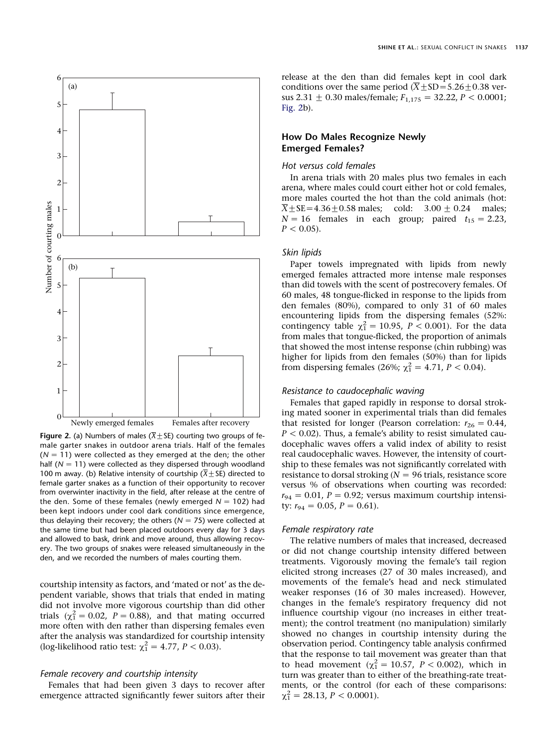<span id="page-4-0"></span>

**Figure 2.** (a) Numbers of males ( $\overline{X}$   $\pm$  SE) courting two groups of female garter snakes in outdoor arena trials. Half of the females  $(N = 11)$  were collected as they emerged at the den; the other half ( $N = 11$ ) were collected as they dispersed through woodland 100 m away. (b) Relative intensity of courtship ( $\overline{X}$  + SE) directed to female garter snakes as a function of their opportunity to recover from overwinter inactivity in the field, after release at the centre of the den. Some of these females (newly emerged  $N = 102$ ) had been kept indoors under cool dark conditions since emergence, thus delaying their recovery; the others ( $N = 75$ ) were collected at the same time but had been placed outdoors every day for 3 days and allowed to bask, drink and move around, thus allowing recovery. The two groups of snakes were released simultaneously in the den, and we recorded the numbers of males courting them.

courtship intensity as factors, and 'mated or not' as the dependent variable, shows that trials that ended in mating did not involve more vigorous courtship than did other trials ( $\chi_1^2 = 0.02$ ,  $P = 0.88$ ), and that mating occurred more often with den rather than dispersing females even after the analysis was standardized for courtship intensity (log-likelihood ratio test:  $\chi_1^2 = 4.77$ ,  $P < 0.03$ ).

#### Female recovery and courtship intensity

Females that had been given 3 days to recover after emergence attracted significantly fewer suitors after their

release at the den than did females kept in cool dark conditions over the same period  $(\overline{X} \pm SD = 5.26 \pm 0.38$  versus 2.31  $\pm$  0.30 males/female;  $F_{1,175} = 32.22$ ,  $P < 0.0001$ ; Fig. 2b).

# How Do Males Recognize Newly Emerged Females?

## Hot versus cold females

In arena trials with 20 males plus two females in each arena, where males could court either hot or cold females, more males courted the hot than the cold animals (hot:  $\overline{X}$  ± SE = 4.36 ± 0.58 males; cold: 3.00 ± 0.24 males;  $N = 16$  females in each group; paired  $t_{15} = 2.23$ ,  $P < 0.05$ ).

# Skin lipids

Paper towels impregnated with lipids from newly emerged females attracted more intense male responses than did towels with the scent of postrecovery females. Of 60 males, 48 tongue-flicked in response to the lipids from den females (80%), compared to only 31 of 60 males encountering lipids from the dispersing females (52%: contingency table  $\chi_1^2 = 10.95$ ,  $P < 0.001$ ). For the data from males that tongue-flicked, the proportion of animals that showed the most intense response (chin rubbing) was higher for lipids from den females (50%) than for lipids from dispersing females (26%;  $\chi_1^2 = 4.71$ ,  $P < 0.04$ ).

## Resistance to caudocephalic waving

Females that gaped rapidly in response to dorsal stroking mated sooner in experimental trials than did females that resisted for longer (Pearson correlation:  $r_{26} = 0.44$ ,  $P < 0.02$ ). Thus, a female's ability to resist simulated caudocephalic waves offers a valid index of ability to resist real caudocephalic waves. However, the intensity of courtship to these females was not significantly correlated with resistance to dorsal stroking  $(N = 96 \text{ trials}, \text{resistance score})$ versus % of observations when courting was recorded:  $r_{94} = 0.01$ ,  $P = 0.92$ ; versus maximum courtship intensity:  $r_{94} = 0.05$ ,  $P = 0.61$ ).

#### Female respiratory rate

The relative numbers of males that increased, decreased or did not change courtship intensity differed between treatments. Vigorously moving the female's tail region elicited strong increases (27 of 30 males increased), and movements of the female's head and neck stimulated weaker responses (16 of 30 males increased). However, changes in the female's respiratory frequency did not influence courtship vigour (no increases in either treatment); the control treatment (no manipulation) similarly showed no changes in courtship intensity during the observation period. Contingency table analysis confirmed that the response to tail movement was greater than that to head movement ( $\chi_1^2 = 10.57$ ,  $P < 0.002$ ), which in turn was greater than to either of the breathing-rate treatments, or the control (for each of these comparisons:  $\chi_1^2 = 28.13, P < 0.0001$ ).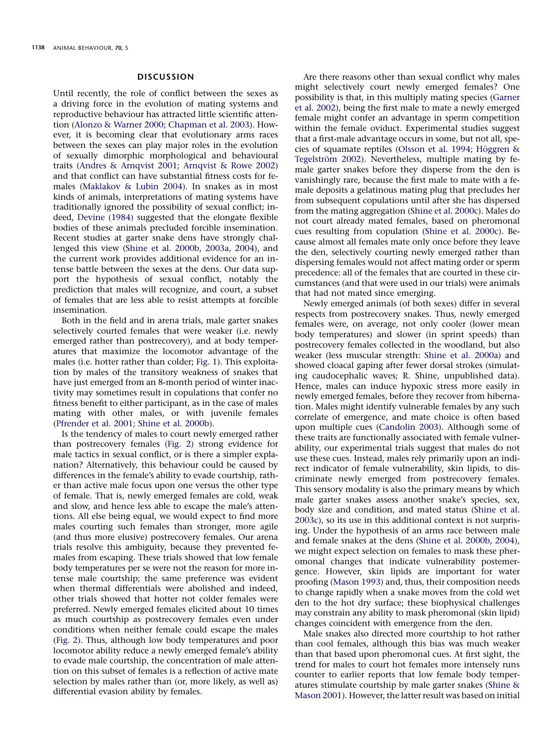## **DISCUSSION**

Until recently, the role of conflict between the sexes as a driving force in the evolution of mating systems and reproductive behaviour has attracted little scientific attention [\(Alonzo & Warner 2000; Chapman et al. 2003](#page-6-0)). However, it is becoming clear that evolutionary arms races between the sexes can play major roles in the evolution of sexually dimorphic morphological and behavioural traits [\(Andres & Arnqvist 2001; Arnqvist & Rowe 2002\)](#page-6-0) and that conflict can have substantial fitness costs for females ([Maklakov & Lubin 2004](#page-7-0)). In snakes as in most kinds of animals, interpretations of mating systems have traditionally ignored the possibility of sexual conflict; indeed, [Devine \(1984\)](#page-6-0) suggested that the elongate flexible bodies of these animals precluded forcible insemination. Recent studies at garter snake dens have strongly challenged this view ([Shine et al. 2000b, 2003a, 2004](#page-7-0)), and the current work provides additional evidence for an intense battle between the sexes at the dens. Our data support the hypothesis of sexual conflict, notably the prediction that males will recognize, and court, a subset of females that are less able to resist attempts at forcible insemination.

Both in the field and in arena trials, male garter snakes selectively courted females that were weaker (i.e. newly emerged rather than postrecovery), and at body temperatures that maximize the locomotor advantage of the males (i.e. hotter rather than colder; [Fig. 1](#page-3-0)). This exploitation by males of the transitory weakness of snakes that have just emerged from an 8-month period of winter inactivity may sometimes result in copulations that confer no fitness benefit to either participant, as in the case of males mating with other males, or with juvenile females ([Pfrender et al. 2001; Shine et al. 2000b](#page-7-0)).

Is the tendency of males to court newly emerged rather than postrecovery females [\(Fig. 2](#page-4-0)) strong evidence for male tactics in sexual conflict, or is there a simpler explanation? Alternatively, this behaviour could be caused by differences in the female's ability to evade courtship, rather than active male focus upon one versus the other type of female. That is, newly emerged females are cold, weak and slow, and hence less able to escape the male's attentions. All else being equal, we would expect to find more males courting such females than stronger, more agile (and thus more elusive) postrecovery females. Our arena trials resolve this ambiguity, because they prevented females from escaping. These trials showed that low female body temperatures per se were not the reason for more intense male courtship; the same preference was evident when thermal differentials were abolished and indeed, other trials showed that hotter not colder females were preferred. Newly emerged females elicited about 10 times as much courtship as postrecovery females even under conditions when neither female could escape the males ([Fig. 2\)](#page-4-0). Thus, although low body temperatures and poor locomotor ability reduce a newly emerged female's ability to evade male courtship, the concentration of male attention on this subset of females is a reflection of active mate selection by males rather than (or, more likely, as well as) differential evasion ability by females.

Are there reasons other than sexual conflict why males might selectively court newly emerged females? One possibility is that, in this multiply mating species [\(Garner](#page-6-0) [et al. 2002\)](#page-6-0), being the first male to mate a newly emerged female might confer an advantage in sperm competition within the female oviduct. Experimental studies suggest that a first-male advantage occurs in some, but not all, species of squamate reptiles (Olsson et al. 1994; Höggren & Tegelström 2002). Nevertheless, multiple mating by female garter snakes before they disperse from the den is vanishingly rare, because the first male to mate with a female deposits a gelatinous mating plug that precludes her from subsequent copulations until after she has dispersed from the mating aggregation ([Shine et al. 2000c](#page-7-0)). Males do not court already mated females, based on pheromonal cues resulting from copulation [\(Shine et al. 2000c](#page-7-0)). Because almost all females mate only once before they leave the den, selectively courting newly emerged rather than dispersing females would not affect mating order or sperm precedence: all of the females that are courted in these circumstances (and that were used in our trials) were animals that had not mated since emerging.

Newly emerged animals (of both sexes) differ in several respects from postrecovery snakes. Thus, newly emerged females were, on average, not only cooler (lower mean body temperatures) and slower (in sprint speeds) than postrecovery females collected in the woodland, but also weaker (less muscular strength: [Shine et al. 2000a\)](#page-7-0) and showed cloacal gaping after fewer dorsal strokes (simulating caudocephalic waves; R. Shine, unpublished data). Hence, males can induce hypoxic stress more easily in newly emerged females, before they recover from hibernation. Males might identify vulnerable females by any such correlate of emergence, and mate choice is often based upon multiple cues [\(Candolin 2003](#page-6-0)). Although some of these traits are functionally associated with female vulnerability, our experimental trials suggest that males do not use these cues. Instead, males rely primarily upon an indirect indicator of female vulnerability, skin lipids, to discriminate newly emerged from postrecovery females. This sensory modality is also the primary means by which male garter snakes assess another snake's species, sex, body size and condition, and mated status [\(Shine et al.](#page-7-0) [2003c\)](#page-7-0), so its use in this additional context is not surprising. Under the hypothesis of an arms race between male and female snakes at the dens [\(Shine et al. 2000b, 2004](#page-7-0)), we might expect selection on females to mask these pheromonal changes that indicate vulnerability postemergence. However, skin lipids are important for water proofing [\(Mason 1993\)](#page-7-0) and, thus, their composition needs to change rapidly when a snake moves from the cold wet den to the hot dry surface; these biophysical challenges may constrain any ability to mask pheromonal (skin lipid) changes coincident with emergence from the den.

Male snakes also directed more courtship to hot rather than cool females, although this bias was much weaker than that based upon pheromonal cues. At first sight, the trend for males to court hot females more intensely runs counter to earlier reports that low female body temperatures stimulate courtship by male garter snakes [\(Shine &](#page-7-0) [Mason 2001\)](#page-7-0). However, the latter result was based on initial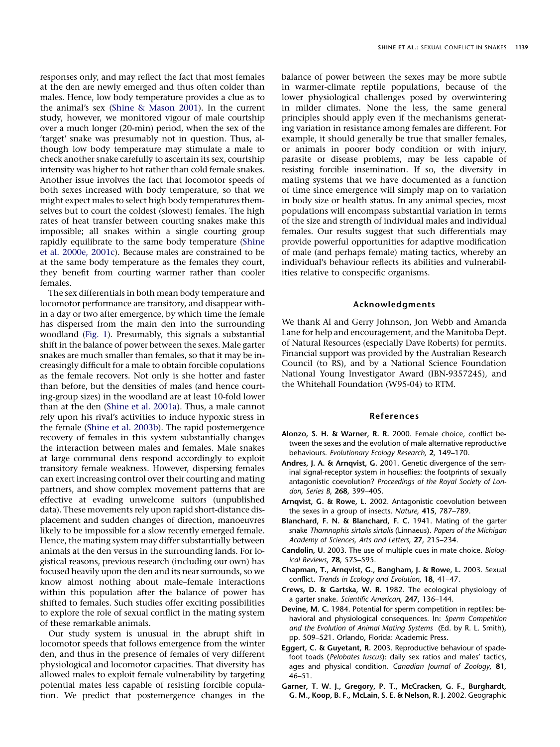<span id="page-6-0"></span>responses only, and may reflect the fact that most females at the den are newly emerged and thus often colder than males. Hence, low body temperature provides a clue as to the animal's sex [\(Shine & Mason 2001\)](#page-7-0). In the current study, however, we monitored vigour of male courtship over a much longer (20-min) period, when the sex of the 'target' snake was presumably not in question. Thus, although low body temperature may stimulate a male to check another snake carefully to ascertain its sex, courtship intensity was higher to hot rather than cold female snakes. Another issue involves the fact that locomotor speeds of both sexes increased with body temperature, so that we might expect males to select high body temperatures themselves but to court the coldest (slowest) females. The high rates of heat transfer between courting snakes make this impossible; all snakes within a single courting group rapidly equilibrate to the same body temperature [\(Shine](#page-7-0) [et al. 2000e, 2001c\)](#page-7-0). Because males are constrained to be at the same body temperature as the females they court, they benefit from courting warmer rather than cooler females.

The sex differentials in both mean body temperature and locomotor performance are transitory, and disappear within a day or two after emergence, by which time the female has dispersed from the main den into the surrounding woodland ([Fig. 1](#page-3-0)). Presumably, this signals a substantial shift in the balance of power between the sexes. Male garter snakes are much smaller than females, so that it may be increasingly difficult for a male to obtain forcible copulations as the female recovers. Not only is she hotter and faster than before, but the densities of males (and hence courting-group sizes) in the woodland are at least 10-fold lower than at the den ([Shine et al. 2001a](#page-7-0)). Thus, a male cannot rely upon his rival's activities to induce hypoxic stress in the female ([Shine et al. 2003b](#page-7-0)). The rapid postemergence recovery of females in this system substantially changes the interaction between males and females. Male snakes at large communal dens respond accordingly to exploit transitory female weakness. However, dispersing females can exert increasing control over their courting and mating partners, and show complex movement patterns that are effective at evading unwelcome suitors (unpublished data). These movements rely upon rapid short-distance displacement and sudden changes of direction, manoeuvres likely to be impossible for a slow recently emerged female. Hence, the mating system may differ substantially between animals at the den versus in the surrounding lands. For logistical reasons, previous research (including our own) has focused heavily upon the den and its near surrounds, so we know almost nothing about male–female interactions within this population after the balance of power has shifted to females. Such studies offer exciting possibilities to explore the role of sexual conflict in the mating system of these remarkable animals.

Our study system is unusual in the abrupt shift in locomotor speeds that follows emergence from the winter den, and thus in the presence of females of very different physiological and locomotor capacities. That diversity has allowed males to exploit female vulnerability by targeting potential mates less capable of resisting forcible copulation. We predict that postemergence changes in the

balance of power between the sexes may be more subtle in warmer-climate reptile populations, because of the lower physiological challenges posed by overwintering in milder climates. None the less, the same general principles should apply even if the mechanisms generating variation in resistance among females are different. For example, it should generally be true that smaller females, or animals in poorer body condition or with injury, parasite or disease problems, may be less capable of resisting forcible insemination. If so, the diversity in mating systems that we have documented as a function of time since emergence will simply map on to variation in body size or health status. In any animal species, most populations will encompass substantial variation in terms of the size and strength of individual males and individual females. Our results suggest that such differentials may provide powerful opportunities for adaptive modification of male (and perhaps female) mating tactics, whereby an individual's behaviour reflects its abilities and vulnerabilities relative to conspecific organisms.

#### Acknowledgments

We thank Al and Gerry Johnson, Jon Webb and Amanda Lane for help and encouragement, and the Manitoba Dept. of Natural Resources (especially Dave Roberts) for permits. Financial support was provided by the Australian Research Council (to RS), and by a National Science Foundation National Young Investigator Award (IBN-9357245), and the Whitehall Foundation (W95-04) to RTM.

#### References

- Alonzo, S. H. & Warner, R. R. 2000. Female choice, conflict between the sexes and the evolution of male alternative reproductive behaviours. Evolutionary Ecology Research, 2, 149-170.
- Andres, I. A. & Arnavist, G. 2001. Genetic divergence of the seminal signal-receptor system in houseflies: the footprints of sexually antagonistic coevolution? Proceedings of the Royal Society of London, Series B, 268, 399–405.
- Arnqvist, G. & Rowe, L. 2002. Antagonistic coevolution between the sexes in a group of insects. Nature, 415, 787–789.
- Blanchard, F. N. & Blanchard, F. C. 1941. Mating of the garter snake Thamnophis sirtalis sirtalis (Linnaeus). Papers of the Michigan Academy of Sciences, Arts and Letters, 27, 215–234.
- Candolin, U. 2003. The use of multiple cues in mate choice. Biological Reviews, 78, 575–595.
- Chapman, T., Arnqvist, G., Bangham, J. & Rowe, L. 2003. Sexual conflict. Trends in Ecology and Evolution, 18, 41–47.
- Crews, D. & Gartska, W. R. 1982. The ecological physiology of a garter snake. Scientific American, 247, 136–144.
- Devine, M. C. 1984. Potential for sperm competition in reptiles: behavioral and physiological consequences. In: Sperm Competition and the Evolution of Animal Mating Systems (Ed. by R. L. Smith), pp. 509–521. Orlando, Florida: Academic Press.
- Eggert, C. & Guyetant, R. 2003. Reproductive behaviour of spadefoot toads (Pelobates fuscus): daily sex ratios and males' tactics, ages and physical condition. Canadian Journal of Zoology, 81, 46–51.
- Garner, T. W. J., Gregory, P. T., McCracken, G. F., Burghardt, G. M., Koop, B. F., McLain, S. E. & Nelson, R. J. 2002. Geographic